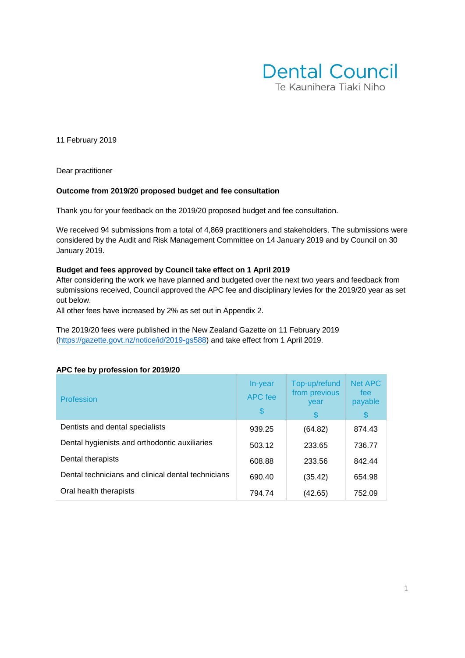

11 February 2019

Dear practitioner

#### **Outcome from 2019/20 proposed budget and fee consultation**

Thank you for your feedback on the 2019/20 proposed budget and fee consultation.

We received 94 submissions from a total of 4,869 practitioners and stakeholders. The submissions were considered by the Audit and Risk Management Committee on 14 January 2019 and by Council on 30 January 2019.

#### **Budget and fees approved by Council take effect on 1 April 2019**

After considering the work we have planned and budgeted over the next two years and feedback from submissions received, Council approved the APC fee and disciplinary levies for the 2019/20 year as set out below.

All other fees have increased by 2% as set out in Appendix 2.

The 2019/20 fees were published in the New Zealand Gazette on 11 February 2019 [\(https://gazette.govt.nz/notice/id/2019-gs588\)](https://gazette.govt.nz/notice/id/2019-gs588) and take effect from 1 April 2019.

| Profession                                         | In-year<br><b>APC</b> fee<br>\$ | Top-up/refund<br>from previous<br>year<br>\$ | <b>Net APC</b><br>fee<br>payable<br>\$ |
|----------------------------------------------------|---------------------------------|----------------------------------------------|----------------------------------------|
| Dentists and dental specialists                    | 939.25                          | (64.82)                                      | 874.43                                 |
| Dental hygienists and orthodontic auxiliaries      | 503.12                          | 233.65                                       | 736.77                                 |
| Dental therapists                                  | 608.88                          | 233.56                                       | 842.44                                 |
| Dental technicians and clinical dental technicians | 690.40                          | (35.42)                                      | 654.98                                 |
| Oral health therapists                             | 794.74                          | (42.65)                                      | 752.09                                 |

#### **APC fee by profession for 2019/20**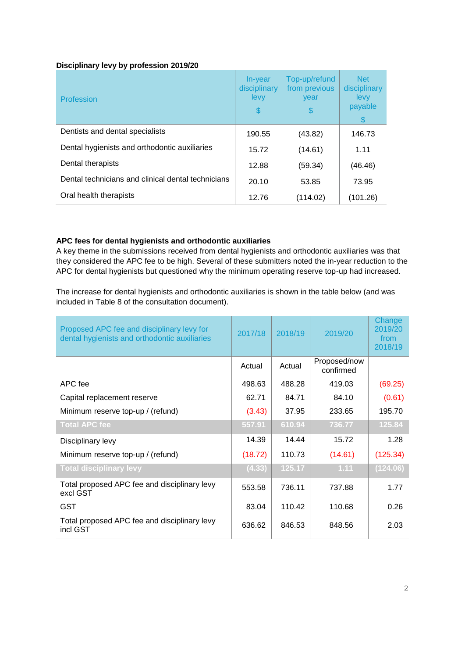#### **Disciplinary levy by profession 2019/20**

| Profession                                         | In-year<br>disciplinary<br>levy<br>\$ | Top-up/refund<br>from previous<br>year<br>\$ | <b>Net</b><br>disciplinary<br>levy<br>payable<br>\$. |
|----------------------------------------------------|---------------------------------------|----------------------------------------------|------------------------------------------------------|
| Dentists and dental specialists                    | 190.55                                | (43.82)                                      | 146.73                                               |
| Dental hygienists and orthodontic auxiliaries      | 15.72                                 | (14.61)                                      | 1.11                                                 |
| Dental therapists                                  | 12.88                                 | (59.34)                                      | (46.46)                                              |
| Dental technicians and clinical dental technicians | 20.10                                 | 53.85                                        | 73.95                                                |
| Oral health therapists                             | 12.76                                 | (114.02)                                     | (101.26)                                             |

#### **APC fees for dental hygienists and orthodontic auxiliaries**

A key theme in the submissions received from dental hygienists and orthodontic auxiliaries was that they considered the APC fee to be high. Several of these submitters noted the in-year reduction to the APC for dental hygienists but questioned why the minimum operating reserve top-up had increased.

The increase for dental hygienists and orthodontic auxiliaries is shown in the table below (and was included in Table 8 of the consultation document).

| Proposed APC fee and disciplinary levy for<br>dental hygienists and orthodontic auxiliaries | 2017/18 | 2018/19 | 2019/20                   | Change<br>2019/20<br>from<br>2018/19 |
|---------------------------------------------------------------------------------------------|---------|---------|---------------------------|--------------------------------------|
|                                                                                             | Actual  | Actual  | Proposed/now<br>confirmed |                                      |
| APC fee                                                                                     | 498.63  | 488.28  | 419.03                    | (69.25)                              |
| Capital replacement reserve                                                                 | 62.71   | 84.71   | 84.10                     | (0.61)                               |
| Minimum reserve top-up / (refund)                                                           | (3.43)  | 37.95   | 233.65                    | 195.70                               |
| <b>Total APC fee</b>                                                                        | 557.91  | 610.94  | 736.77                    | 125.84                               |
| Disciplinary levy                                                                           | 14.39   | 14.44   | 15.72                     | 1.28                                 |
| Minimum reserve top-up / (refund)                                                           | (18.72) | 110.73  | (14.61)                   | (125.34)                             |
| <b>Total disciplinary levy</b>                                                              | (4.33)  | 125.17  | 1.11                      | (124.06)                             |
| Total proposed APC fee and disciplinary levy<br>excl GST                                    | 553.58  | 736.11  | 737.88                    | 1.77                                 |
| <b>GST</b>                                                                                  | 83.04   | 110.42  | 110.68                    | 0.26                                 |
| Total proposed APC fee and disciplinary levy<br>incl GST                                    | 636.62  | 846.53  | 848.56                    | 2.03                                 |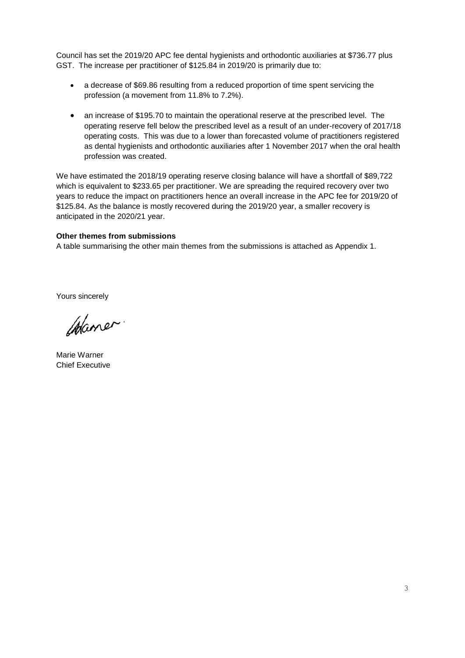Council has set the 2019/20 APC fee dental hygienists and orthodontic auxiliaries at \$736.77 plus GST. The increase per practitioner of \$125.84 in 2019/20 is primarily due to:

- a decrease of \$69.86 resulting from a reduced proportion of time spent servicing the profession (a movement from 11.8% to 7.2%).
- an increase of \$195.70 to maintain the operational reserve at the prescribed level. The operating reserve fell below the prescribed level as a result of an under-recovery of 2017/18 operating costs. This was due to a lower than forecasted volume of practitioners registered as dental hygienists and orthodontic auxiliaries after 1 November 2017 when the oral health profession was created.

We have estimated the 2018/19 operating reserve closing balance will have a shortfall of \$89,722 which is equivalent to \$233.65 per practitioner. We are spreading the required recovery over two years to reduce the impact on practitioners hence an overall increase in the APC fee for 2019/20 of \$125.84. As the balance is mostly recovered during the 2019/20 year, a smaller recovery is anticipated in the 2020/21 year.

#### **Other themes from submissions**

A table summarising the other main themes from the submissions is attached as Appendix 1.

Yours sincerely

Waner.

Marie Warner Chief Executive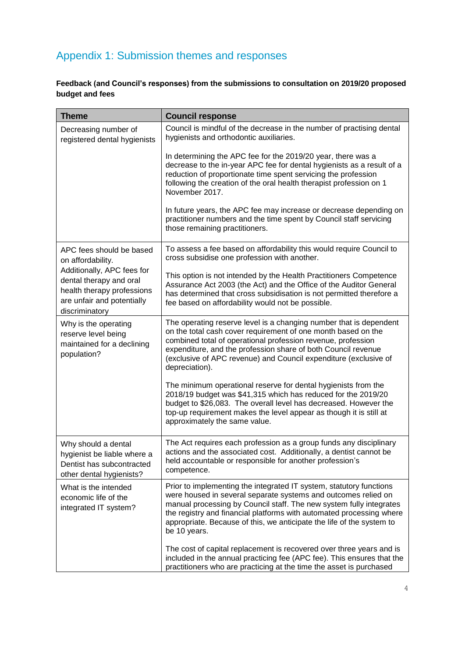## Appendix 1: Submission themes and responses

### **Feedback (and Council's responses) from the submissions to consultation on 2019/20 proposed budget and fees**

| <b>Theme</b>                                                                                                                        | <b>Council response</b>                                                                                                                                                                                                                                                                                                                                                       |
|-------------------------------------------------------------------------------------------------------------------------------------|-------------------------------------------------------------------------------------------------------------------------------------------------------------------------------------------------------------------------------------------------------------------------------------------------------------------------------------------------------------------------------|
| Decreasing number of<br>registered dental hygienists                                                                                | Council is mindful of the decrease in the number of practising dental<br>hygienists and orthodontic auxiliaries.                                                                                                                                                                                                                                                              |
|                                                                                                                                     | In determining the APC fee for the 2019/20 year, there was a<br>decrease to the in-year APC fee for dental hygienists as a result of a<br>reduction of proportionate time spent servicing the profession<br>following the creation of the oral health therapist profession on 1<br>November 2017.                                                                             |
|                                                                                                                                     | In future years, the APC fee may increase or decrease depending on<br>practitioner numbers and the time spent by Council staff servicing<br>those remaining practitioners.                                                                                                                                                                                                    |
| APC fees should be based<br>on affordability.                                                                                       | To assess a fee based on affordability this would require Council to<br>cross subsidise one profession with another.                                                                                                                                                                                                                                                          |
| Additionally, APC fees for<br>dental therapy and oral<br>health therapy professions<br>are unfair and potentially<br>discriminatory | This option is not intended by the Health Practitioners Competence<br>Assurance Act 2003 (the Act) and the Office of the Auditor General<br>has determined that cross subsidisation is not permitted therefore a<br>fee based on affordability would not be possible.                                                                                                         |
| Why is the operating<br>reserve level being<br>maintained for a declining<br>population?                                            | The operating reserve level is a changing number that is dependent<br>on the total cash cover requirement of one month based on the<br>combined total of operational profession revenue, profession<br>expenditure, and the profession share of both Council revenue<br>(exclusive of APC revenue) and Council expenditure (exclusive of<br>depreciation).                    |
|                                                                                                                                     | The minimum operational reserve for dental hygienists from the<br>2018/19 budget was \$41,315 which has reduced for the 2019/20<br>budget to \$26,083. The overall level has decreased. However the<br>top-up requirement makes the level appear as though it is still at<br>approximately the same value.                                                                    |
| Why should a dental<br>hygienist be liable where a<br>Dentist has subcontracted<br>other dental hygienists?                         | The Act requires each profession as a group funds any disciplinary<br>actions and the associated cost. Additionally, a dentist cannot be<br>held accountable or responsible for another profession's<br>competence.                                                                                                                                                           |
| What is the intended<br>economic life of the<br>integrated IT system?                                                               | Prior to implementing the integrated IT system, statutory functions<br>were housed in several separate systems and outcomes relied on<br>manual processing by Council staff. The new system fully integrates<br>the registry and financial platforms with automated processing where<br>appropriate. Because of this, we anticipate the life of the system to<br>be 10 years. |
|                                                                                                                                     | The cost of capital replacement is recovered over three years and is<br>included in the annual practicing fee (APC fee). This ensures that the<br>practitioners who are practicing at the time the asset is purchased                                                                                                                                                         |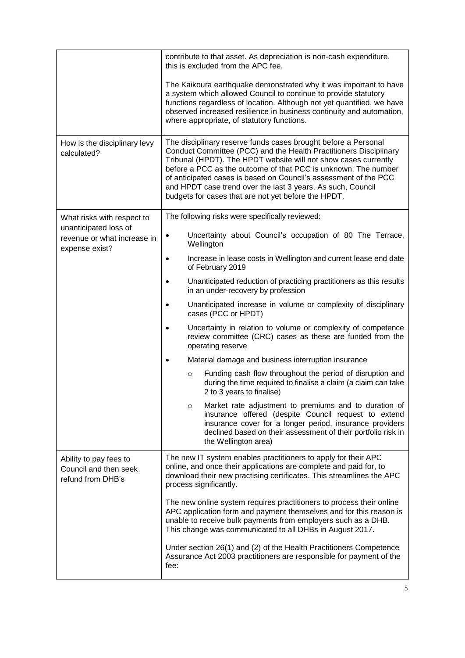|                                                                        | contribute to that asset. As depreciation is non-cash expenditure,<br>this is excluded from the APC fee.                                                                                                                                                                                                                                                                                                                                                           |
|------------------------------------------------------------------------|--------------------------------------------------------------------------------------------------------------------------------------------------------------------------------------------------------------------------------------------------------------------------------------------------------------------------------------------------------------------------------------------------------------------------------------------------------------------|
|                                                                        | The Kaikoura earthquake demonstrated why it was important to have<br>a system which allowed Council to continue to provide statutory<br>functions regardless of location. Although not yet quantified, we have<br>observed increased resilience in business continuity and automation,<br>where appropriate, of statutory functions.                                                                                                                               |
| How is the disciplinary levy<br>calculated?                            | The disciplinary reserve funds cases brought before a Personal<br>Conduct Committee (PCC) and the Health Practitioners Disciplinary<br>Tribunal (HPDT). The HPDT website will not show cases currently<br>before a PCC as the outcome of that PCC is unknown. The number<br>of anticipated cases is based on Council's assessment of the PCC<br>and HPDT case trend over the last 3 years. As such, Council<br>budgets for cases that are not yet before the HPDT. |
| What risks with respect to                                             | The following risks were specifically reviewed:                                                                                                                                                                                                                                                                                                                                                                                                                    |
| unanticipated loss of<br>revenue or what increase in<br>expense exist? | Uncertainty about Council's occupation of 80 The Terrace,<br>$\bullet$<br>Wellington                                                                                                                                                                                                                                                                                                                                                                               |
|                                                                        | Increase in lease costs in Wellington and current lease end date<br>$\bullet$<br>of February 2019                                                                                                                                                                                                                                                                                                                                                                  |
|                                                                        | Unanticipated reduction of practicing practitioners as this results<br>in an under-recovery by profession                                                                                                                                                                                                                                                                                                                                                          |
|                                                                        | Unanticipated increase in volume or complexity of disciplinary<br>$\bullet$<br>cases (PCC or HPDT)                                                                                                                                                                                                                                                                                                                                                                 |
|                                                                        | Uncertainty in relation to volume or complexity of competence<br>review committee (CRC) cases as these are funded from the<br>operating reserve                                                                                                                                                                                                                                                                                                                    |
|                                                                        | Material damage and business interruption insurance<br>$\bullet$                                                                                                                                                                                                                                                                                                                                                                                                   |
|                                                                        | Funding cash flow throughout the period of disruption and<br>$\circ$<br>during the time required to finalise a claim (a claim can take<br>2 to 3 years to finalise)                                                                                                                                                                                                                                                                                                |
|                                                                        | Market rate adjustment to premiums and to duration of<br>$\circ$<br>insurance offered (despite Council request to extend<br>insurance cover for a longer period, insurance providers<br>declined based on their assessment of their portfolio risk in<br>the Wellington area)                                                                                                                                                                                      |
| Ability to pay fees to<br>Council and then seek<br>refund from DHB's   | The new IT system enables practitioners to apply for their APC<br>online, and once their applications are complete and paid for, to<br>download their new practising certificates. This streamlines the APC<br>process significantly.                                                                                                                                                                                                                              |
|                                                                        | The new online system requires practitioners to process their online<br>APC application form and payment themselves and for this reason is<br>unable to receive bulk payments from employers such as a DHB.<br>This change was communicated to all DHBs in August 2017.                                                                                                                                                                                            |
|                                                                        | Under section 26(1) and (2) of the Health Practitioners Competence<br>Assurance Act 2003 practitioners are responsible for payment of the<br>fee:                                                                                                                                                                                                                                                                                                                  |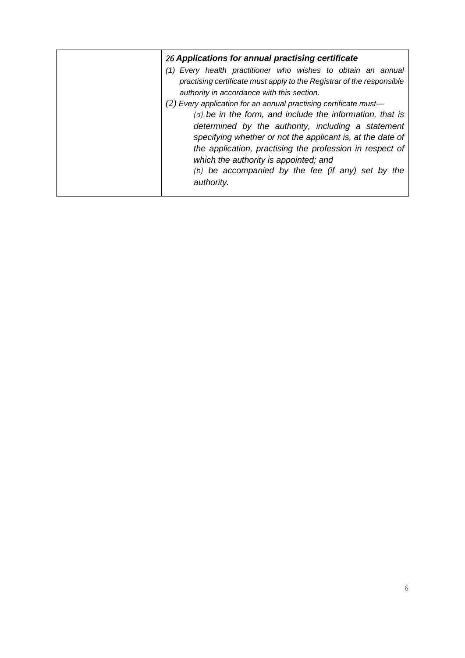| 26 Applications for annual practising certificate                                                                                                                                                                                                                                                                                                                                                                                                                                                                                                                                                                     |
|-----------------------------------------------------------------------------------------------------------------------------------------------------------------------------------------------------------------------------------------------------------------------------------------------------------------------------------------------------------------------------------------------------------------------------------------------------------------------------------------------------------------------------------------------------------------------------------------------------------------------|
| (1) Every health practitioner who wishes to obtain an annual<br>practising certificate must apply to the Registrar of the responsible<br>authority in accordance with this section.<br>$(2)$ Every application for an annual practising certificate must-<br>$(a)$ be in the form, and include the information, that is<br>determined by the authority, including a statement<br>specifying whether or not the applicant is, at the date of<br>the application, practising the profession in respect of<br>which the authority is appointed; and<br>$(b)$ be accompanied by the fee (if any) set by the<br>authority. |
|                                                                                                                                                                                                                                                                                                                                                                                                                                                                                                                                                                                                                       |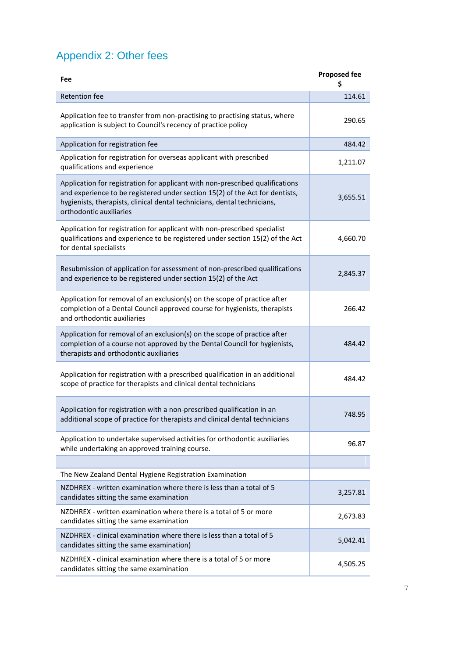# Appendix 2: Other fees

| <b>Fee</b>                                                                                                                                                                                                                                                           | <b>Proposed fee</b> |
|----------------------------------------------------------------------------------------------------------------------------------------------------------------------------------------------------------------------------------------------------------------------|---------------------|
| <b>Retention fee</b>                                                                                                                                                                                                                                                 | 114.61              |
| Application fee to transfer from non-practising to practising status, where<br>application is subject to Council's recency of practice policy                                                                                                                        | 290.65              |
| Application for registration fee                                                                                                                                                                                                                                     | 484.42              |
| Application for registration for overseas applicant with prescribed<br>qualifications and experience                                                                                                                                                                 | 1,211.07            |
| Application for registration for applicant with non-prescribed qualifications<br>and experience to be registered under section 15(2) of the Act for dentists,<br>hygienists, therapists, clinical dental technicians, dental technicians,<br>orthodontic auxiliaries | 3,655.51            |
| Application for registration for applicant with non-prescribed specialist<br>qualifications and experience to be registered under section 15(2) of the Act<br>for dental specialists                                                                                 | 4,660.70            |
| Resubmission of application for assessment of non-prescribed qualifications<br>and experience to be registered under section 15(2) of the Act                                                                                                                        | 2,845.37            |
| Application for removal of an exclusion(s) on the scope of practice after<br>completion of a Dental Council approved course for hygienists, therapists<br>and orthodontic auxiliaries                                                                                | 266.42              |
| Application for removal of an exclusion(s) on the scope of practice after<br>completion of a course not approved by the Dental Council for hygienists,<br>therapists and orthodontic auxiliaries                                                                     | 484.42              |
| Application for registration with a prescribed qualification in an additional<br>scope of practice for therapists and clinical dental technicians                                                                                                                    | 484.42              |
| Application for registration with a non-prescribed qualification in an<br>additional scope of practice for therapists and clinical dental technicians                                                                                                                | 748.95              |
| Application to undertake supervised activities for orthodontic auxiliaries<br>while undertaking an approved training course.                                                                                                                                         | 96.87               |
|                                                                                                                                                                                                                                                                      |                     |
| The New Zealand Dental Hygiene Registration Examination                                                                                                                                                                                                              |                     |
| NZDHREX - written examination where there is less than a total of 5<br>candidates sitting the same examination                                                                                                                                                       | 3,257.81            |
| NZDHREX - written examination where there is a total of 5 or more<br>candidates sitting the same examination                                                                                                                                                         | 2,673.83            |
| NZDHREX - clinical examination where there is less than a total of 5<br>candidates sitting the same examination)                                                                                                                                                     | 5,042.41            |
| NZDHREX - clinical examination where there is a total of 5 or more<br>candidates sitting the same examination                                                                                                                                                        | 4,505.25            |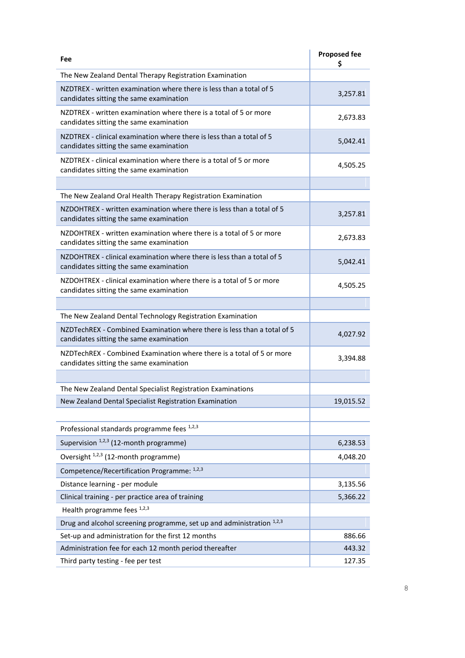| Fee                                                                                                                | <b>Proposed fee</b><br>\$ |
|--------------------------------------------------------------------------------------------------------------------|---------------------------|
| The New Zealand Dental Therapy Registration Examination                                                            |                           |
| NZDTREX - written examination where there is less than a total of 5<br>candidates sitting the same examination     | 3,257.81                  |
| NZDTREX - written examination where there is a total of 5 or more<br>candidates sitting the same examination       | 2,673.83                  |
| NZDTREX - clinical examination where there is less than a total of 5<br>candidates sitting the same examination    | 5,042.41                  |
| NZDTREX - clinical examination where there is a total of 5 or more<br>candidates sitting the same examination      | 4,505.25                  |
|                                                                                                                    |                           |
| The New Zealand Oral Health Therapy Registration Examination                                                       |                           |
| NZDOHTREX - written examination where there is less than a total of 5<br>candidates sitting the same examination   | 3,257.81                  |
| NZDOHTREX - written examination where there is a total of 5 or more<br>candidates sitting the same examination     | 2,673.83                  |
| NZDOHTREX - clinical examination where there is less than a total of 5<br>candidates sitting the same examination  | 5,042.41                  |
| NZDOHTREX - clinical examination where there is a total of 5 or more<br>candidates sitting the same examination    | 4,505.25                  |
|                                                                                                                    |                           |
| The New Zealand Dental Technology Registration Examination                                                         |                           |
| NZDTechREX - Combined Examination where there is less than a total of 5<br>candidates sitting the same examination | 4,027.92                  |
| NZDTechREX - Combined Examination where there is a total of 5 or more<br>candidates sitting the same examination   | 3,394.88                  |
|                                                                                                                    |                           |
| The New Zealand Dental Specialist Registration Examinations                                                        |                           |
| New Zealand Dental Specialist Registration Examination                                                             | 19,015.52                 |
|                                                                                                                    |                           |
| Professional standards programme fees 1,2,3                                                                        |                           |
| Supervision <sup>1,2,3</sup> (12-month programme)                                                                  | 6,238.53                  |
| Oversight <sup>1,2,3</sup> (12-month programme)                                                                    | 4,048.20                  |
| Competence/Recertification Programme: 1,2,3                                                                        |                           |
| Distance learning - per module                                                                                     | 3,135.56                  |
| Clinical training - per practice area of training                                                                  | 5,366.22                  |
| Health programme fees 1,2,3                                                                                        |                           |
| Drug and alcohol screening programme, set up and administration 1,2,3                                              |                           |
| Set-up and administration for the first 12 months                                                                  | 886.66                    |
| Administration fee for each 12 month period thereafter                                                             | 443.32                    |
| Third party testing - fee per test                                                                                 | 127.35                    |